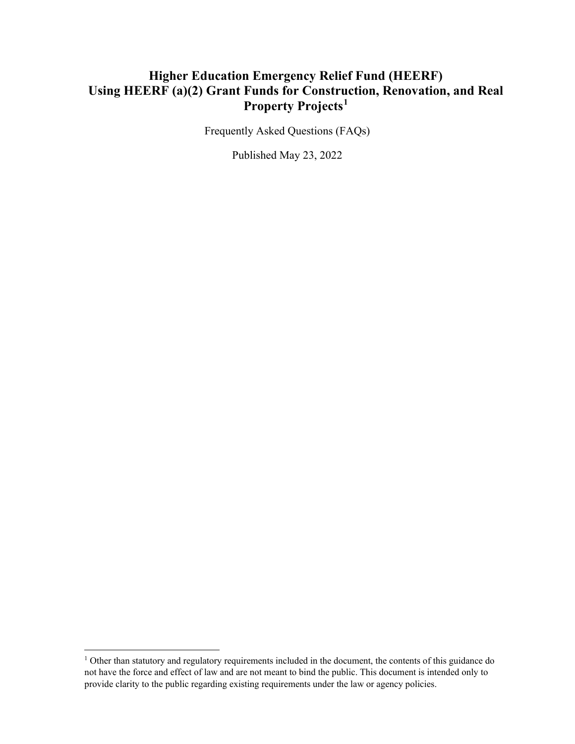#### **Higher Education Emergency Relief Fund (HEERF) Using HEERF (a)(2) Grant Funds for Construction, Renovation, and Real Property Projects[1](#page-0-0)**

Frequently Asked Questions (FAQs)

Published May 23, 2022

<span id="page-0-0"></span><sup>&</sup>lt;sup>1</sup> Other than statutory and regulatory requirements included in the document, the contents of this guidance do not have the force and effect of law and are not meant to bind the public. This document is intended only to provide clarity to the public regarding existing requirements under the law or agency policies.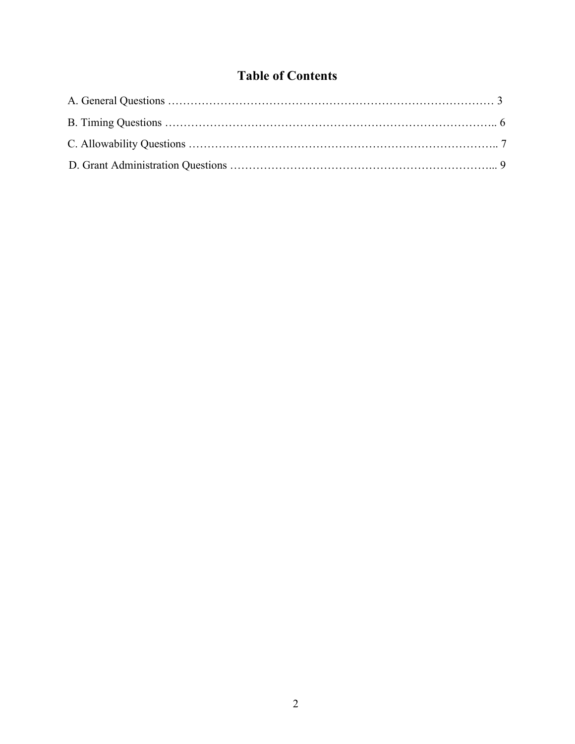#### **Table of Contents**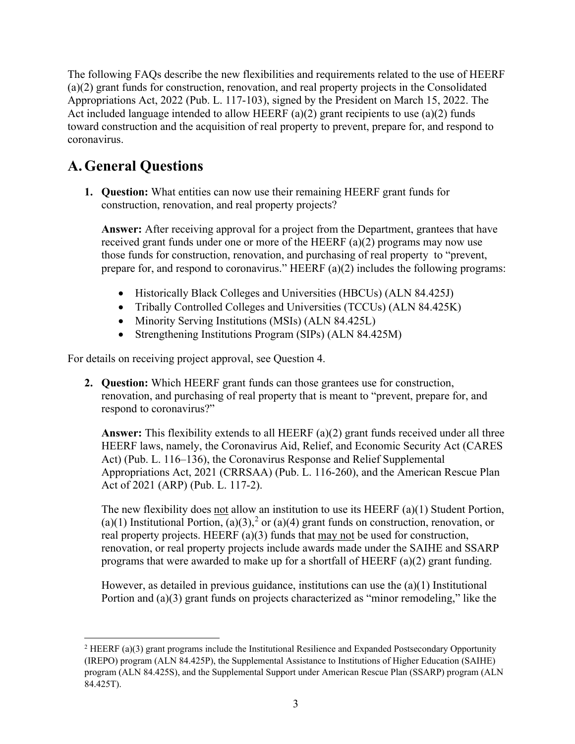The following FAQs describe the new flexibilities and requirements related to the use of HEERF (a)(2) grant funds for construction, renovation, and real property projects in the Consolidated Appropriations Act, 2022 (Pub. L. 117-103), signed by the President on March 15, 2022. The Act included language intended to allow HEERF (a)(2) grant recipients to use (a)(2) funds toward construction and the acquisition of real property to prevent, prepare for, and respond to coronavirus.

# **A.General Questions**

**1. Question:** What entities can now use their remaining HEERF grant funds for construction, renovation, and real property projects?

**Answer:** After receiving approval for a project from the Department, grantees that have received grant funds under one or more of the HEERF (a)(2) programs may now use those funds for construction, renovation, and purchasing of real property to "prevent, prepare for, and respond to coronavirus." HEERF (a)(2) includes the following programs:

- Historically Black Colleges and Universities (HBCUs) (ALN 84.425J)
- Tribally Controlled Colleges and Universities (TCCUs) (ALN 84.425K)
- Minority Serving Institutions (MSIs) (ALN 84.425L)
- Strengthening Institutions Program (SIPs) (ALN 84.425M)

For details on receiving project approval, see Question 4.

**2. Question:** Which HEERF grant funds can those grantees use for construction, renovation, and purchasing of real property that is meant to "prevent, prepare for, and respond to coronavirus?"

**Answer:** This flexibility extends to all HEERF (a)(2) grant funds received under all three HEERF laws, namely, the Coronavirus Aid, Relief, and Economic Security Act (CARES Act) (Pub. L. 116–136), the Coronavirus Response and Relief Supplemental Appropriations Act, 2021 (CRRSAA) (Pub. L. 116-260), and the American Rescue Plan Act of 2021 (ARP) (Pub. L. 117-2).

The new flexibility does not allow an institution to use its HEERF (a)(1) Student Portion, (a)(1) Institutional Portion, (a)(3),<sup>[2](#page-2-0)</sup> or (a)(4) grant funds on construction, renovation, or real property projects. HEERF (a)(3) funds that may not be used for construction, renovation, or real property projects include awards made under the SAIHE and SSARP programs that were awarded to make up for a shortfall of HEERF (a)(2) grant funding.

However, as detailed in previous guidance, institutions can use the (a)(1) Institutional Portion and (a)(3) grant funds on projects characterized as "minor remodeling," like the

<span id="page-2-0"></span><sup>&</sup>lt;sup>2</sup> HEERF (a)(3) grant programs include the Institutional Resilience and Expanded Postsecondary Opportunity (IREPO) program (ALN 84.425P), the Supplemental Assistance to Institutions of Higher Education (SAIHE) program (ALN 84.425S), and the Supplemental Support under American Rescue Plan (SSARP) program (ALN 84.425T).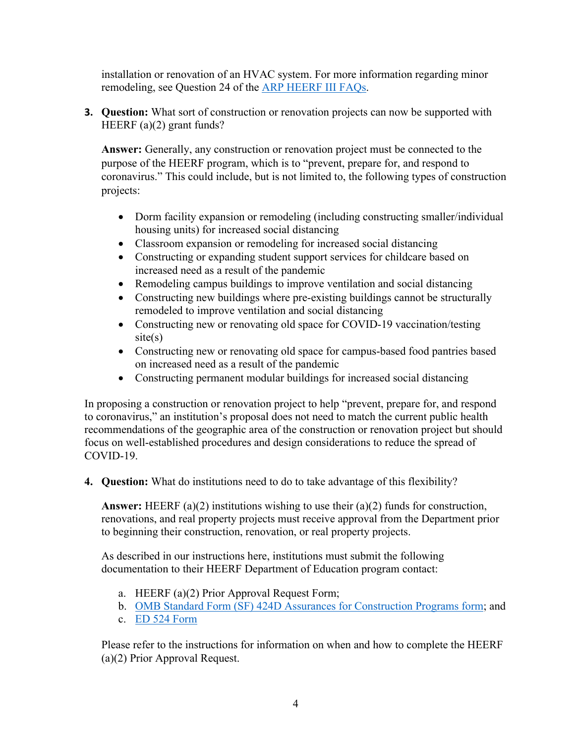installation or renovation of an HVAC system. For more information regarding minor remodeling, see Question 24 of the [ARP HEERF III FAQs.](https://www2.ed.gov/about/offices/list/ope/arpfaq.pdf)

**3. Question:** What sort of construction or renovation projects can now be supported with HEERF (a)(2) grant funds?

**Answer:** Generally, any construction or renovation project must be connected to the purpose of the HEERF program, which is to "prevent, prepare for, and respond to coronavirus." This could include, but is not limited to, the following types of construction projects:

- Dorm facility expansion or remodeling (including constructing smaller/individual housing units) for increased social distancing
- Classroom expansion or remodeling for increased social distancing
- Constructing or expanding student support services for childcare based on increased need as a result of the pandemic
- Remodeling campus buildings to improve ventilation and social distancing
- Constructing new buildings where pre-existing buildings cannot be structurally remodeled to improve ventilation and social distancing
- Constructing new or renovating old space for COVID-19 vaccination/testing  $site(s)$
- Constructing new or renovating old space for campus-based food pantries based on increased need as a result of the pandemic
- Constructing permanent modular buildings for increased social distancing

In proposing a construction or renovation project to help "prevent, prepare for, and respond to coronavirus," an institution's proposal does not need to match the current public health recommendations of the geographic area of the construction or renovation project but should focus on well-established procedures and design considerations to reduce the spread of COVID-19.

**4. Question:** What do institutions need to do to take advantage of this flexibility?

**Answer:** HEERF (a)(2) institutions wishing to use their (a)(2) funds for construction, renovations, and real property projects must receive approval from the Department prior to beginning their construction, renovation, or real property projects.

As described in our instructions here, institutions must submit the following documentation to their HEERF Department of Education program contact:

- a. HEERF (a)(2) Prior Approval Request Form;
- b. [OMB Standard Form \(SF\) 424D Assurances for Construction Programs form;](https://www.grants.gov/web/grants/forms/sf-424-family.html) and
- c. [ED 524 Form](https://www2.ed.gov/fund/grant/apply/appforms/ed524.pdf)

Please refer to the instructions for information on when and how to complete the HEERF (a)(2) Prior Approval Request.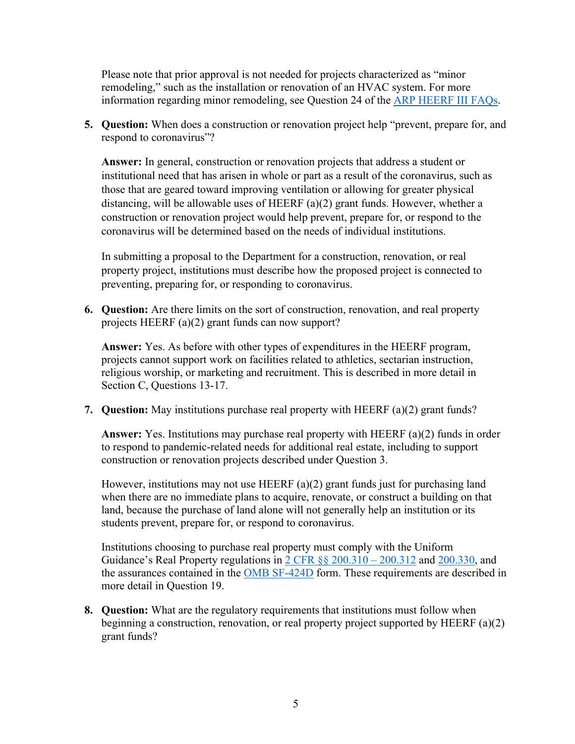Please note that prior approval is not needed for projects characterized as "minor remodeling," such as the installation or renovation of an HVAC system. For more information regarding minor remodeling, see Question 24 of the [ARP HEERF III FAQs.](https://www2.ed.gov/about/offices/list/ope/arpfaq.pdf)

**5. Question:** When does a construction or renovation project help "prevent, prepare for, and respond to coronavirus"?

**Answer:** In general, construction or renovation projects that address a student or institutional need that has arisen in whole or part as a result of the coronavirus, such as those that are geared toward improving ventilation or allowing for greater physical distancing, will be allowable uses of HEERF (a)(2) grant funds. However, whether a construction or renovation project would help prevent, prepare for, or respond to the coronavirus will be determined based on the needs of individual institutions.

In submitting a proposal to the Department for a construction, renovation, or real property project, institutions must describe how the proposed project is connected to preventing, preparing for, or responding to coronavirus.

**6. Question:** Are there limits on the sort of construction, renovation, and real property projects HEERF (a)(2) grant funds can now support?

**Answer:** Yes. As before with other types of expenditures in the HEERF program, projects cannot support work on facilities related to athletics, sectarian instruction, religious worship, or marketing and recruitment. This is described in more detail in Section C, Questions 13-17.

**7. Question:** May institutions purchase real property with HEERF (a)(2) grant funds?

**Answer:** Yes. Institutions may purchase real property with HEERF (a)(2) funds in order to respond to pandemic-related needs for additional real estate, including to support construction or renovation projects described under Question 3.

However, institutions may not use HEERF (a)(2) grant funds just for purchasing land when there are no immediate plans to acquire, renovate, or construct a building on that land, because the purchase of land alone will not generally help an institution or its students prevent, prepare for, or respond to coronavirus.

Institutions choosing to purchase real property must comply with the Uniform Guidance's Real Property regulations in [2 CFR §§ 200.310 – 200.312](https://www.ecfr.gov/current/title-2/part-200/subject-group-ECFR8feb98c2e3e5ad2) and [200.330,](https://www.ecfr.gov/current/title-2/subtitle-A/chapter-II/part-200/subpart-D/subject-group-ECFR36520e4111dce32/section-200.330) and the assurances contained in the [OMB SF-424D](https://www.grants.gov/forms/sf-424-family.html) form. These requirements are described in more detail in Question 19.

**8. Question:** What are the regulatory requirements that institutions must follow when beginning a construction, renovation, or real property project supported by HEERF (a)(2) grant funds?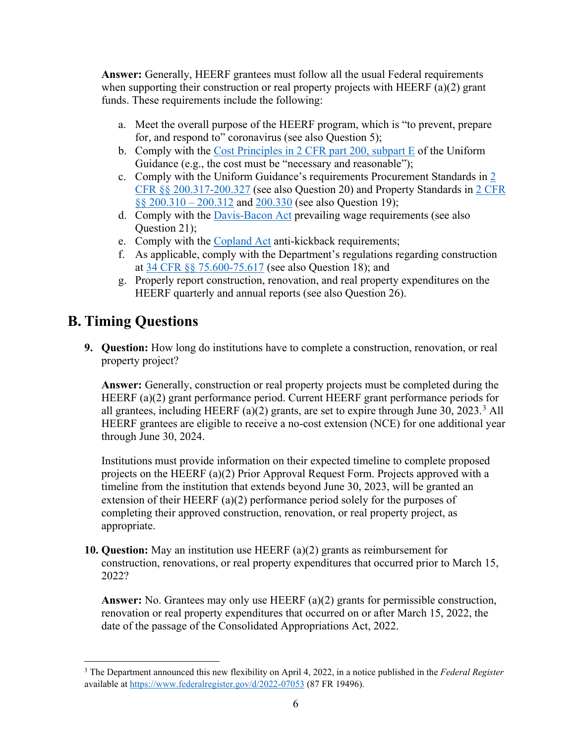**Answer:** Generally, HEERF grantees must follow all the usual Federal requirements when supporting their construction or real property projects with HEERF (a)(2) grant funds. These requirements include the following:

- a. Meet the overall purpose of the HEERF program, which is "to prevent, prepare for, and respond to" coronavirus (see also Question 5);
- b. Comply with the [Cost Principles in 2 CFR part 200, subpart E](https://www.ecfr.gov/current/title-2/subtitle-A/chapter-II/part-200/subpart-E/subject-group-ECFRed1f39f9b3d4e72/section-200.450) of the Uniform Guidance (e.g., the cost must be "necessary and reasonable");
- c. Comply with the Uniform Guidance's requirements Procurement Standards in [2](https://www.ecfr.gov/current/title-2/subtitle-A/chapter-II/part-200/subpart-D/subject-group-ECFR45ddd4419ad436d)  [CFR §§ 200.317-200.327](https://www.ecfr.gov/current/title-2/subtitle-A/chapter-II/part-200/subpart-D/subject-group-ECFR45ddd4419ad436d) (see also Question 20) and Property Standards in [2 CFR](https://www.ecfr.gov/current/title-2/subtitle-A/chapter-II/part-200/subpart-D/subject-group-ECFR8feb98c2e3e5ad2)  [§§ 200.310 – 200.312](https://www.ecfr.gov/current/title-2/subtitle-A/chapter-II/part-200/subpart-D/subject-group-ECFR8feb98c2e3e5ad2) and [200.330](https://www.ecfr.gov/current/title-2/subtitle-A/chapter-II/part-200/subpart-D/subject-group-ECFR36520e4111dce32/section-200.330) (see also Question 19);
- d. Comply with the [Davis-Bacon](https://www.dol.gov/agencies/whd/government-contracts/construction) Act prevailing wage requirements (see also Question 21);
- e. Comply with the [Copland Act](https://www.dol.gov/agencies/whd/government-contracts/copeland-anti-kickback) anti-kickback requirements;
- f. As applicable, comply with the Department's regulations regarding construction at [34 CFR §§ 75.600-75.617](https://www.ecfr.gov/current/title-34/subtitle-A/part-75#p-75.600(a)) (see also Question 18); and
- g. Properly report construction, renovation, and real property expenditures on the HEERF quarterly and annual reports (see also Question 26).

## **B. Timing Questions**

**9. Question:** How long do institutions have to complete a construction, renovation, or real property project?

**Answer:** Generally, construction or real property projects must be completed during the HEERF (a)(2) grant performance period. Current HEERF grant performance periods for all grantees, including HEERF (a)(2) grants, are set to expire through June [3](#page-5-0)0, 2023.<sup>3</sup> All HEERF grantees are eligible to receive a no-cost extension (NCE) for one additional year through June 30, 2024.

Institutions must provide information on their expected timeline to complete proposed projects on the HEERF (a)(2) Prior Approval Request Form. Projects approved with a timeline from the institution that extends beyond June 30, 2023, will be granted an extension of their HEERF (a)(2) performance period solely for the purposes of completing their approved construction, renovation, or real property project, as appropriate.

**10. Question:** May an institution use HEERF (a)(2) grants as reimbursement for construction, renovations, or real property expenditures that occurred prior to March 15, 2022?

**Answer:** No. Grantees may only use HEERF (a)(2) grants for permissible construction, renovation or real property expenditures that occurred on or after March 15, 2022, the date of the passage of the Consolidated Appropriations Act, 2022.

<span id="page-5-0"></span><sup>3</sup> The Department announced this new flexibility on April 4, 2022, in a notice published in the *Federal Register* available at https://www.federalregister.gov/d/2022-07053 (87 FR 19496).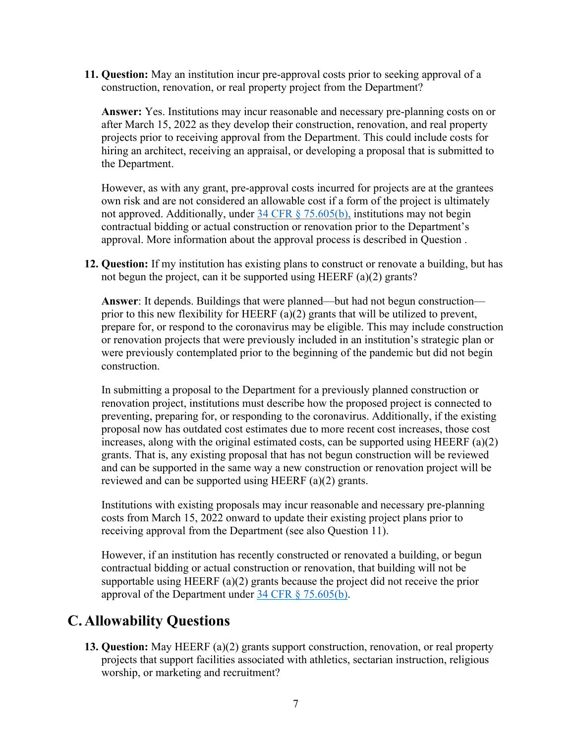**11. Question:** May an institution incur pre-approval costs prior to seeking approval of a construction, renovation, or real property project from the Department?

**Answer:** Yes. Institutions may incur reasonable and necessary pre-planning costs on or after March 15, 2022 as they develop their construction, renovation, and real property projects prior to receiving approval from the Department. This could include costs for hiring an architect, receiving an appraisal, or developing a proposal that is submitted to the Department.

However, as with any grant, pre-approval costs incurred for projects are at the grantees own risk and are not considered an allowable cost if a form of the project is ultimately not approved. Additionally, under [34 CFR § 75.605\(b\),](https://www.ecfr.gov/current/title-34/subtitle-A/part-75/subpart-E#p-75.605(b)) institutions may not begin contractual bidding or actual construction or renovation prior to the Department's approval. More information about the approval process is described in Question .

**12. Question:** If my institution has existing plans to construct or renovate a building, but has not begun the project, can it be supported using HEERF (a)(2) grants?

**Answer**: It depends. Buildings that were planned—but had not begun construction prior to this new flexibility for HEERF  $(a)(2)$  grants that will be utilized to prevent, prepare for, or respond to the coronavirus may be eligible. This may include construction or renovation projects that were previously included in an institution's strategic plan or were previously contemplated prior to the beginning of the pandemic but did not begin construction.

In submitting a proposal to the Department for a previously planned construction or renovation project, institutions must describe how the proposed project is connected to preventing, preparing for, or responding to the coronavirus. Additionally, if the existing proposal now has outdated cost estimates due to more recent cost increases, those cost increases, along with the original estimated costs, can be supported using HEERF  $(a)(2)$ grants. That is, any existing proposal that has not begun construction will be reviewed and can be supported in the same way a new construction or renovation project will be reviewed and can be supported using HEERF (a)(2) grants.

Institutions with existing proposals may incur reasonable and necessary pre-planning costs from March 15, 2022 onward to update their existing project plans prior to receiving approval from the Department (see also Question 11).

However, if an institution has recently constructed or renovated a building, or begun contractual bidding or actual construction or renovation, that building will not be supportable using HEERF (a)(2) grants because the project did not receive the prior approval of the Department under [34 CFR § 75.605\(b\).](https://www.ecfr.gov/current/title-34/subtitle-A/part-75/subpart-E#p-75.605(b))

### **C. Allowability Questions**

**13. Question:** May HEERF (a)(2) grants support construction, renovation, or real property projects that support facilities associated with athletics, sectarian instruction, religious worship, or marketing and recruitment?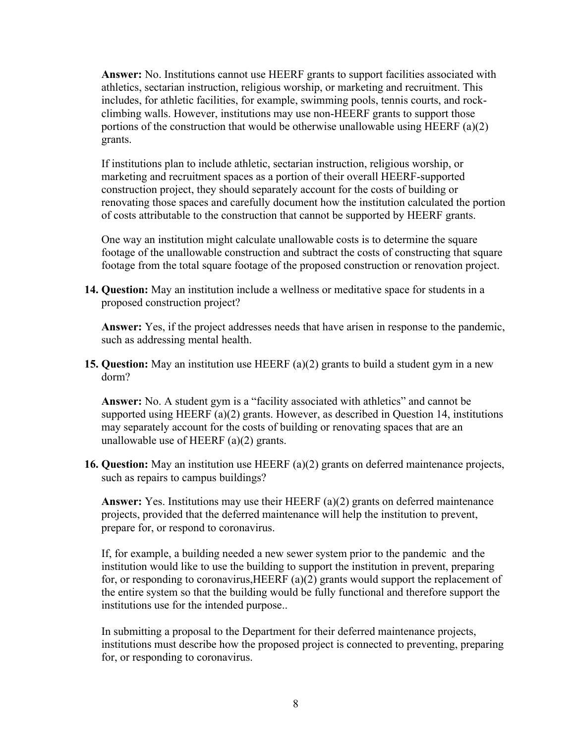**Answer:** No. Institutions cannot use HEERF grants to support facilities associated with athletics, sectarian instruction, religious worship, or marketing and recruitment. This includes, for athletic facilities, for example, swimming pools, tennis courts, and rockclimbing walls. However, institutions may use non-HEERF grants to support those portions of the construction that would be otherwise unallowable using HEERF (a)(2) grants.

If institutions plan to include athletic, sectarian instruction, religious worship, or marketing and recruitment spaces as a portion of their overall HEERF-supported construction project, they should separately account for the costs of building or renovating those spaces and carefully document how the institution calculated the portion of costs attributable to the construction that cannot be supported by HEERF grants.

One way an institution might calculate unallowable costs is to determine the square footage of the unallowable construction and subtract the costs of constructing that square footage from the total square footage of the proposed construction or renovation project.

**14. Question:** May an institution include a wellness or meditative space for students in a proposed construction project?

**Answer:** Yes, if the project addresses needs that have arisen in response to the pandemic, such as addressing mental health.

**15. Question:** May an institution use HEERF (a)(2) grants to build a student gym in a new dorm?

**Answer:** No. A student gym is a "facility associated with athletics" and cannot be supported using HEERF (a)(2) grants. However, as described in Question 14, institutions may separately account for the costs of building or renovating spaces that are an unallowable use of HEERF (a)(2) grants.

**16. Question:** May an institution use HEERF (a)(2) grants on deferred maintenance projects, such as repairs to campus buildings?

**Answer:** Yes. Institutions may use their HEERF (a)(2) grants on deferred maintenance projects, provided that the deferred maintenance will help the institution to prevent, prepare for, or respond to coronavirus.

If, for example, a building needed a new sewer system prior to the pandemic and the institution would like to use the building to support the institution in prevent, preparing for, or responding to coronavirus,HEERF (a)(2) grants would support the replacement of the entire system so that the building would be fully functional and therefore support the institutions use for the intended purpose..

In submitting a proposal to the Department for their deferred maintenance projects, institutions must describe how the proposed project is connected to preventing, preparing for, or responding to coronavirus.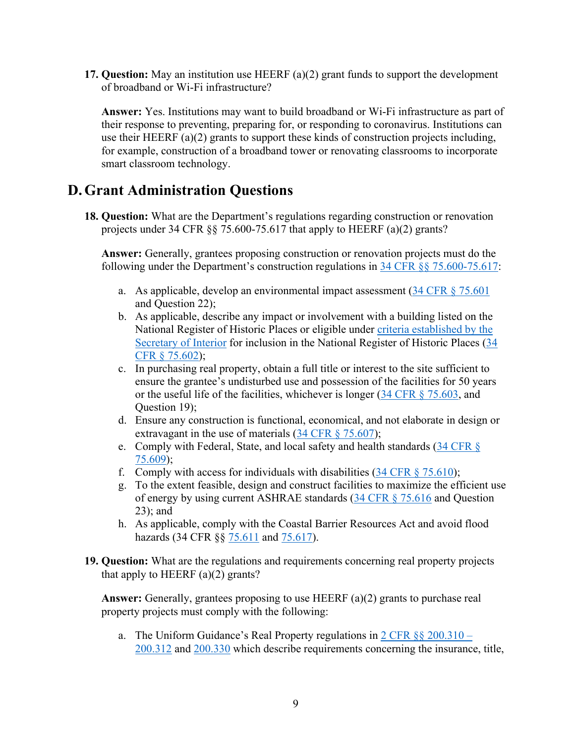**17. Question:** May an institution use HEERF (a)(2) grant funds to support the development of broadband or Wi-Fi infrastructure?

**Answer:** Yes. Institutions may want to build broadband or Wi-Fi infrastructure as part of their response to preventing, preparing for, or responding to coronavirus. Institutions can use their HEERF (a)(2) grants to support these kinds of construction projects including, for example, construction of a broadband tower or renovating classrooms to incorporate smart classroom technology.

### **D.Grant Administration Questions**

**18. Question:** What are the Department's regulations regarding construction or renovation projects under 34 CFR §§ 75.600-75.617 that apply to HEERF (a)(2) grants?

**Answer:** Generally, grantees proposing construction or renovation projects must do the following under the Department's construction regulations in [34 CFR §§ 75.600-75.617:](https://www.ecfr.gov/current/title-34/subtitle-A/part-75#p-75.600(a))

- a. As applicable, develop an environmental impact assessment  $(34 \text{ CFR} \text{ § } 75.601)$ and Question 22);
- b. As applicable, describe any impact or involvement with a building listed on the National Register of Historic Places or eligible under [criteria established by the](https://www.nps.gov/subjects/nationalregister/publications.htm)  [Secretary of Interior](https://www.nps.gov/subjects/nationalregister/publications.htm) for inclusion in the National Register of Historic Places [\(34](https://www.ecfr.gov/current/title-34/subtitle-A/part-75/subpart-E/section-75.602)  [CFR § 75.602\)](https://www.ecfr.gov/current/title-34/subtitle-A/part-75/subpart-E/section-75.602);
- c. In purchasing real property, obtain a full title or interest to the site sufficient to ensure the grantee's undisturbed use and possession of the facilities for 50 years or the useful life of the facilities, whichever is longer [\(34 CFR § 75.603,](https://www.ecfr.gov/current/title-34/subtitle-A/part-75/subpart-E/section-75.603) and Question 19);
- d. Ensure any construction is functional, economical, and not elaborate in design or extravagant in the use of materials [\(34 CFR § 75.607\)](https://www.ecfr.gov/current/title-34/subtitle-A/part-75/subpart-E/section-75.607);
- e. Comply with Federal, State, and local safety and health standards [\(34 CFR §](https://www.ecfr.gov/current/title-34/subtitle-A/part-75/subpart-E/section-75.609)  [75.609\)](https://www.ecfr.gov/current/title-34/subtitle-A/part-75/subpart-E/section-75.609);
- f. Comply with access for individuals with disabilities  $(34 \text{ CFR} \text{ § } 75.610)$ ;
- g. To the extent feasible, design and construct facilities to maximize the efficient use of energy by using current ASHRAE standards [\(34 CFR § 75.616](https://www.ecfr.gov/current/title-34/subtitle-A/part-75/subpart-E/section-75.616) and Question 23); and
- h. As applicable, comply with the Coastal Barrier Resources Act and avoid flood hazards (34 CFR §§ [75.611](https://www.ecfr.gov/current/title-34/subtitle-A/part-75/subpart-E/section-75.611) and [75.617\)](https://www.ecfr.gov/current/title-34/subtitle-A/part-75/subpart-E/section-75.617).
- **19. Question:** What are the regulations and requirements concerning real property projects that apply to HEERF (a)(2) grants?

**Answer:** Generally, grantees proposing to use HEERF (a)(2) grants to purchase real property projects must comply with the following:

a. The Uniform Guidance's Real Property regulations in  $2 \text{ CFR } \S \S 200.310 -$ [200.312](https://www.ecfr.gov/current/title-2/subtitle-A/chapter-II/part-200/subpart-D/subject-group-ECFR8feb98c2e3e5ad2) and [200.330](https://www.ecfr.gov/current/title-2/subtitle-A/chapter-II/part-200/subpart-D/subject-group-ECFR36520e4111dce32/section-200.330) which describe requirements concerning the insurance, title,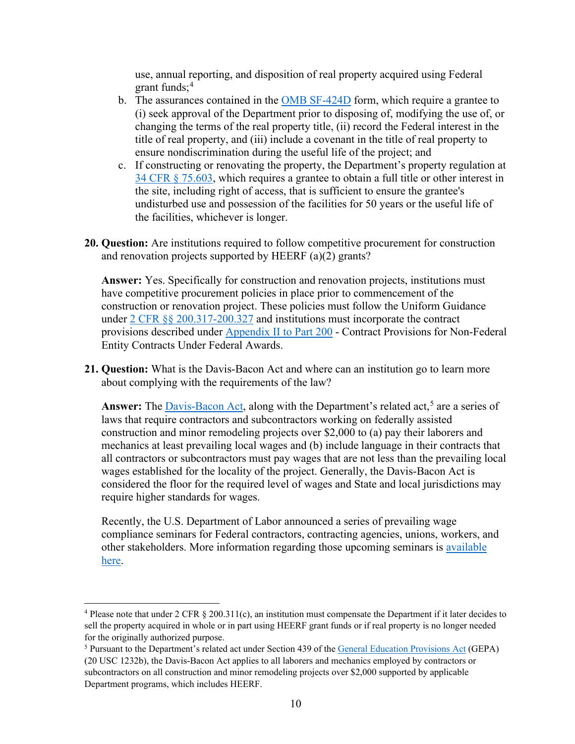use, annual reporting, and disposition of real property acquired using Federal grant funds; $4$ 

- b. The assurances contained in the [OMB SF-424D](https://www.grants.gov/forms/sf-424-family.html) form, which require a grantee to (i) seek approval of the Department prior to disposing of, modifying the use of, or changing the terms of the real property title, (ii) record the Federal interest in the title of real property, and (iii) include a covenant in the title of real property to ensure nondiscrimination during the useful life of the project; and
- c. If constructing or renovating the property, the Department's property regulation at [34 CFR § 75.603,](https://www.ecfr.gov/current/title-34/subtitle-A/part-75/subpart-E/section-75.603) which requires a grantee to obtain a full title or other interest in the site, including right of access, that is sufficient to ensure the grantee's undisturbed use and possession of the facilities for 50 years or the useful life of the facilities, whichever is longer.
- **20. Question:** Are institutions required to follow competitive procurement for construction and renovation projects supported by HEERF (a)(2) grants?

**Answer:** Yes. Specifically for construction and renovation projects, institutions must have competitive procurement policies in place prior to commencement of the construction or renovation project. These policies must follow the Uniform Guidance under [2 CFR §§ 200.317-200.327](https://www.ecfr.gov/current/title-2/subtitle-A/chapter-II/part-200/subpart-D/subject-group-ECFR45ddd4419ad436d) and institutions must incorporate the contract provisions described under [Appendix II to Part 200](https://www.ecfr.gov/current/title-2/part-200/appendix-Appendix%20II%20to%20Part%20200) - Contract Provisions for Non-Federal Entity Contracts Under Federal Awards.

**21. Question:** What is the Davis-Bacon Act and where can an institution go to learn more about complying with the requirements of the law?

Answer: The **Davis-Bacon Act**, along with the Department's related act,<sup>[5](#page-9-1)</sup> are a series of laws that require contractors and subcontractors working on federally assisted construction and minor remodeling projects over \$2,000 to (a) pay their laborers and mechanics at least prevailing local wages and (b) include language in their contracts that all contractors or subcontractors must pay wages that are not less than the prevailing local wages established for the locality of the project. Generally, the Davis-Bacon Act is considered the floor for the required level of wages and State and local jurisdictions may require higher standards for wages.

Recently, the U.S. Department of Labor announced a series of prevailing wage compliance seminars for Federal contractors, contracting agencies, unions, workers, and other stakeholders. More information regarding those upcoming seminars is [available](https://www.dol.gov/newsroom/releases/whd/whd20220315-0)  [here.](https://www.dol.gov/newsroom/releases/whd/whd20220315-0)

<span id="page-9-0"></span><sup>&</sup>lt;sup>4</sup> Please note that under 2 CFR  $\S 200.311(c)$ , an institution must compensate the Department if it later decides to sell the property acquired in whole or in part using HEERF grant funds or if real property is no longer needed for the originally authorized purpose.<br><sup>5</sup> Pursuant to the Department's related act under Section 439 of the [General Education Provisions Act](https://www.govinfo.gov/content/pkg/COMPS-732/pdf/COMPS-732.pdf) (GEPA)

<span id="page-9-1"></span><sup>(20</sup> USC 1232b), the Davis-Bacon Act applies to all laborers and mechanics employed by contractors or subcontractors on all construction and minor remodeling projects over \$2,000 supported by applicable Department programs, which includes HEERF.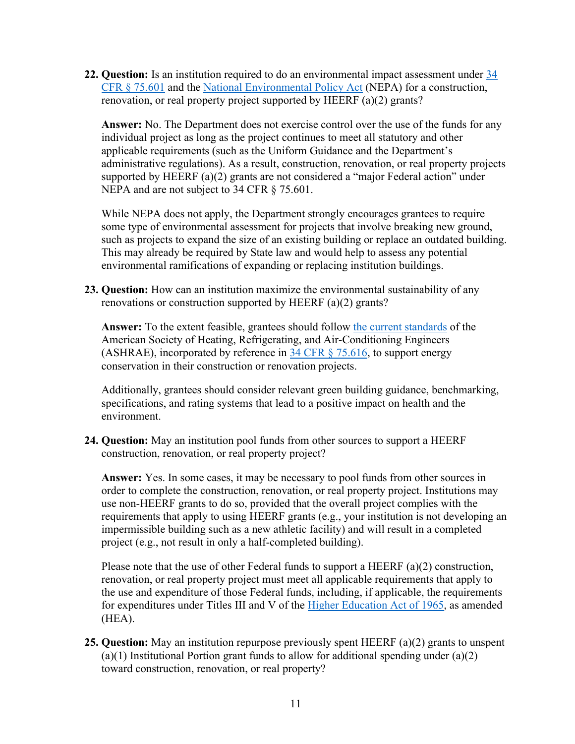**22. Question:** Is an institution required to do an environmental impact assessment under [34](https://www.ecfr.gov/current/title-34/subtitle-A/part-75/subpart-E/section-75.601)  [CFR § 75.601](https://www.ecfr.gov/current/title-34/subtitle-A/part-75/subpart-E/section-75.601) and the [National Environmental Policy Act](https://www.epa.gov/nepa/what-national-environmental-policy-act) (NEPA) for a construction, renovation, or real property project supported by HEERF (a)(2) grants?

**Answer:** No. The Department does not exercise control over the use of the funds for any individual project as long as the project continues to meet all statutory and other applicable requirements (such as the Uniform Guidance and the Department's administrative regulations). As a result, construction, renovation, or real property projects supported by HEERF (a)(2) grants are not considered a "major Federal action" under NEPA and are not subject to 34 CFR § 75.601.

While NEPA does not apply, the Department strongly encourages grantees to require some type of environmental assessment for projects that involve breaking new ground, such as projects to expand the size of an existing building or replace an outdated building. This may already be required by State law and would help to assess any potential environmental ramifications of expanding or replacing institution buildings.

**23. Question:** How can an institution maximize the environmental sustainability of any renovations or construction supported by HEERF (a)(2) grants?

**Answer:** To the extent feasible, grantees should follow [the current standards](https://usdedeop-my.sharepoint.com/personal/soren_lagaard_ed_gov/Documents/HEERF/Construction/Draft%20-%20HEERF%20a2%20Construction%20FAQs%20-%203.28.2022.docx) of the American Society of Heating, Refrigerating, and Air-Conditioning Engineers (ASHRAE), incorporated by reference in 34 CFR  $\S$  75.616, to support energy conservation in their construction or renovation projects.

Additionally, grantees should consider relevant green building guidance, benchmarking, specifications, and rating systems that lead to a positive impact on health and the environment.

**24. Question:** May an institution pool funds from other sources to support a HEERF construction, renovation, or real property project?

**Answer:** Yes. In some cases, it may be necessary to pool funds from other sources in order to complete the construction, renovation, or real property project. Institutions may use non-HEERF grants to do so, provided that the overall project complies with the requirements that apply to using HEERF grants (e.g., your institution is not developing an impermissible building such as a new athletic facility) and will result in a completed project (e.g., not result in only a half-completed building).

Please note that the use of other Federal funds to support a HEERF (a)(2) construction, renovation, or real property project must meet all applicable requirements that apply to the use and expenditure of those Federal funds, including, if applicable, the requirements for expenditures under Titles III and V of the [Higher Education Act of 1965,](https://www.govinfo.gov/content/pkg/COMPS-765/pdf/COMPS-765.pdf) as amended (HEA).

**25. Question:** May an institution repurpose previously spent HEERF (a)(2) grants to unspent  $(a)(1)$  Institutional Portion grant funds to allow for additional spending under  $(a)(2)$ toward construction, renovation, or real property?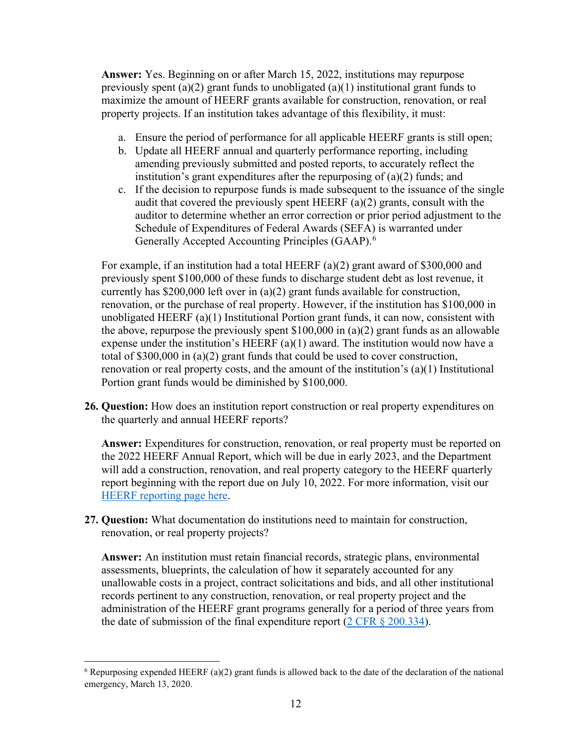**Answer:** Yes. Beginning on or after March 15, 2022, institutions may repurpose previously spent (a)(2) grant funds to unobligated (a)(1) institutional grant funds to maximize the amount of HEERF grants available for construction, renovation, or real property projects. If an institution takes advantage of this flexibility, it must:

- a. Ensure the period of performance for all applicable HEERF grants is still open;
- b. Update all HEERF annual and quarterly performance reporting, including amending previously submitted and posted reports, to accurately reflect the institution's grant expenditures after the repurposing of (a)(2) funds; and
- c. If the decision to repurpose funds is made subsequent to the issuance of the single audit that covered the previously spent HEERF (a)(2) grants, consult with the auditor to determine whether an error correction or prior period adjustment to the Schedule of Expenditures of Federal Awards (SEFA) is warranted under Generally Accepted Accounting Principles (GAAP).<sup>[6](#page-11-0)</sup>

For example, if an institution had a total HEERF (a)(2) grant award of \$300,000 and previously spent \$100,000 of these funds to discharge student debt as lost revenue, it currently has \$200,000 left over in (a)(2) grant funds available for construction, renovation, or the purchase of real property. However, if the institution has \$100,000 in unobligated HEERF (a)(1) Institutional Portion grant funds, it can now, consistent with the above, repurpose the previously spent \$100,000 in (a)(2) grant funds as an allowable expense under the institution's HEERF (a)(1) award. The institution would now have a total of \$300,000 in (a)(2) grant funds that could be used to cover construction, renovation or real property costs, and the amount of the institution's (a)(1) Institutional Portion grant funds would be diminished by \$100,000.

**26. Question:** How does an institution report construction or real property expenditures on the quarterly and annual HEERF reports?

Answer: Expenditures for construction, renovation, or real property must be reported on the 2022 HEERF Annual Report, which will be due in early 2023, and the Department will add a construction, renovation, and real property category to the HEERF quarterly report beginning with the report due on July 10, 2022. For more information, visit our [HEERF reporting page here.](https://www2.ed.gov/about/offices/list/ope/heerfreporting.html)

**27. Question:** What documentation do institutions need to maintain for construction, renovation, or real property projects?

**Answer:** An institution must retain financial records, strategic plans, environmental assessments, blueprints, the calculation of how it separately accounted for any unallowable costs in a project, contract solicitations and bids, and all other institutional records pertinent to any construction, renovation, or real property project and the administration of the HEERF grant programs generally for a period of three years from the date of submission of the final expenditure report ( $2 \text{ CFR } \S$  200.334).

<span id="page-11-0"></span> $6$  Repurposing expended HEERF (a)(2) grant funds is allowed back to the date of the declaration of the national emergency, March 13, 2020.